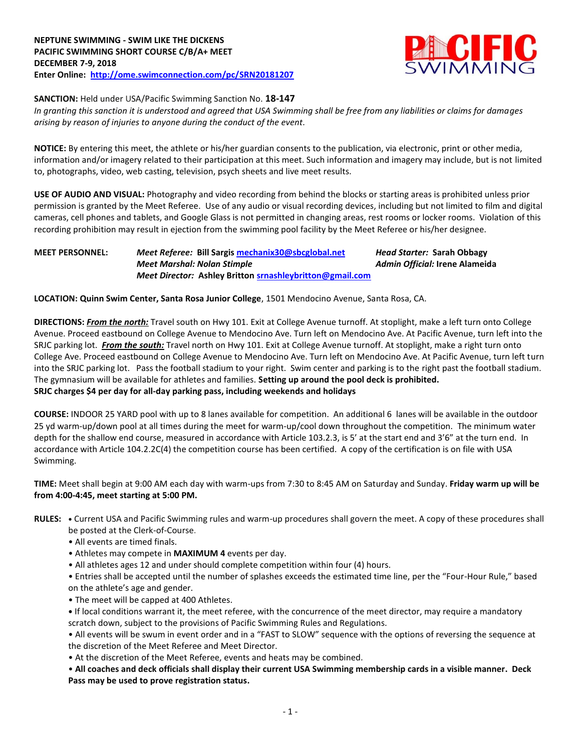

## **SANCTION:** Held under USA/Pacific Swimming Sanction No. **18-147**

*In granting this sanction it is understood and agreed that USA Swimming shall be free from any liabilities or claims for damages arising by reason of injuries to anyone during the conduct of the event.*

**NOTICE:** By entering this meet, the athlete or his/her guardian consents to the publication, via electronic, print or other media, information and/or imagery related to their participation at this meet. Such information and imagery may include, but is not limited to, photographs, video, web casting, television, psych sheets and live meet results.

**USE OF AUDIO AND VISUAL:** Photography and video recording from behind the blocks or starting areas is prohibited unless prior permission is granted by the Meet Referee. Use of any audio or visual recording devices, including but not limited to film and digital cameras, cell phones and tablets, and Google Glass is not permitted in changing areas, rest rooms or locker rooms. Violation of this recording prohibition may result in ejection from the swimming pool facility by the Meet Referee or his/her designee.

## **MEET PERSONNEL:** *Meet Referee:* **Bill Sargi[s mechanix30@sbcglobal.net](mailto:mechanix30@sbcglobal.net)** *Head Starter:* **Sarah Obbagy** *Meet Marshal: Nolan Stimple Admin Official:* **Irene Alameida** *Meet Director:* **Ashley Britto[n srnashleybritton@gmail.com](mailto:srnashleybritton@gmail.com)**

**LOCATION: Quinn Swim Center, Santa Rosa Junior College**, 1501 Mendocino Avenue, Santa Rosa, CA.

**DIRECTIONS:** *From the north:* Travel south on Hwy 101. Exit at College Avenue turnoff. At stoplight, make a left turn onto College Avenue. Proceed eastbound on College Avenue to Mendocino Ave. Turn left on Mendocino Ave. At Pacific Avenue, turn left into the SRJC parking lot. *From the south:* Travel north on Hwy 101. Exit at College Avenue turnoff. At stoplight, make a right turn onto College Ave. Proceed eastbound on College Avenue to Mendocino Ave. Turn left on Mendocino Ave. At Pacific Avenue, turn left turn into the SRJC parking lot. Pass the football stadium to your right. Swim center and parking is to the right past the football stadium. The gymnasium will be available for athletes and families. **Setting up around the pool deck is prohibited. SRJC charges \$4 per day for all-day parking pass, including weekends and holidays**

**COURSE:** INDOOR 25 YARD pool with up to 8 lanes available for competition. An additional 6 lanes will be available in the outdoor 25 yd warm-up/down pool at all times during the meet for warm-up/cool down throughout the competition. The minimum water depth for the shallow end course, measured in accordance with Article 103.2.3, is 5' at the start end and 3'6" at the turn end. In accordance with Article 104.2.2C(4) the competition course has been certified. A copy of the certification is on file with USA Swimming.

**TIME:** Meet shall begin at 9:00 AM each day with warm-ups from 7:30 to 8:45 AM on Saturday and Sunday. **Friday warm up will be from 4:00-4:45, meet starting at 5:00 PM.**

- **RULES: •** Current USA and Pacific Swimming rules and warm-up procedures shall govern the meet. A copy of these procedures shall be posted at the Clerk-of-Course.
	- All events are timed finals.
	- Athletes may compete in **MAXIMUM 4** events per day.
	- All athletes ages 12 and under should complete competition within four (4) hours.
	- Entries shall be accepted until the number of splashes exceeds the estimated time line, per the "Four-Hour Rule," based on the athlete's age and gender.
	- The meet will be capped at 400 Athletes.
	- **•** If local conditions warrant it, the meet referee, with the concurrence of the meet director, may require a mandatory scratch down, subject to the provisions of Pacific Swimming Rules and Regulations.

• All events will be swum in event order and in a "FAST to SLOW" sequence with the options of reversing the sequence at the discretion of the Meet Referee and Meet Director.

• At the discretion of the Meet Referee, events and heats may be combined.

• **All coaches and deck officials shall display their current USA Swimming membership cards in a visible manner. Deck Pass may be used to prove registration status.**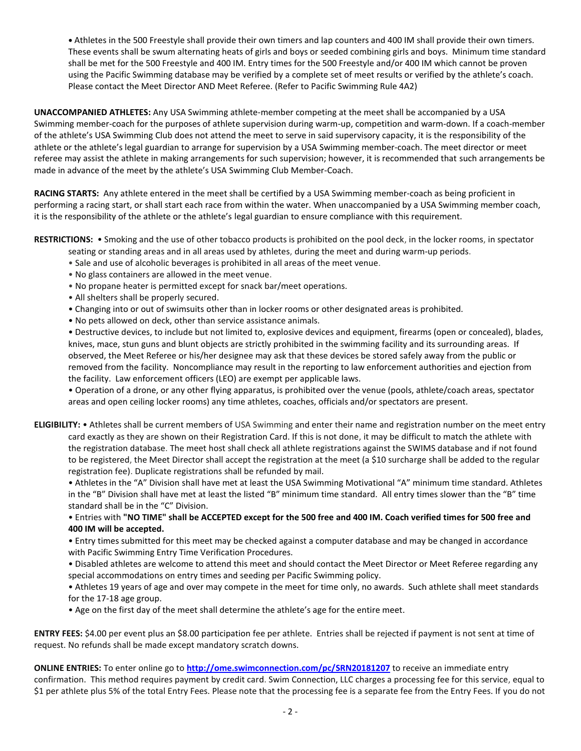**•** Athletes in the 500 Freestyle shall provide their own timers and lap counters and 400 IM shall provide their own timers. These events shall be swum alternating heats of girls and boys or seeded combining girls and boys. Minimum time standard shall be met for the 500 Freestyle and 400 IM. Entry times for the 500 Freestyle and/or 400 IM which cannot be proven using the Pacific Swimming database may be verified by a complete set of meet results or verified by the athlete's coach. Please contact the Meet Director AND Meet Referee. (Refer to Pacific Swimming Rule 4A2)

**UNACCOMPANIED ATHLETES:** Any USA Swimming athlete-member competing at the meet shall be accompanied by a USA Swimming member-coach for the purposes of athlete supervision during warm-up, competition and warm-down. If a coach-member of the athlete's USA Swimming Club does not attend the meet to serve in said supervisory capacity, it is the responsibility of the athlete or the athlete's legal guardian to arrange for supervision by a USA Swimming member-coach. The meet director or meet referee may assist the athlete in making arrangements for such supervision; however, it is recommended that such arrangements be made in advance of the meet by the athlete's USA Swimming Club Member-Coach.

**RACING STARTS:** Any athlete entered in the meet shall be certified by a USA Swimming member-coach as being proficient in performing a racing start, or shall start each race from within the water. When unaccompanied by a USA Swimming member coach, it is the responsibility of the athlete or the athlete's legal guardian to ensure compliance with this requirement.

**RESTRICTIONS:** • Smoking and the use of other tobacco products is prohibited on the pool deck, in the locker rooms, in spectator seating or standing areas and in all areas used by athletes, during the meet and during warm-up periods.

- Sale and use of alcoholic beverages is prohibited in all areas of the meet venue.
- No glass containers are allowed in the meet venue.
- No propane heater is permitted except for snack bar/meet operations.
- All shelters shall be properly secured.
- Changing into or out of swimsuits other than in locker rooms or other designated areas is prohibited.
- No pets allowed on deck, other than service assistance animals.

• Destructive devices, to include but not limited to, explosive devices and equipment, firearms (open or concealed), blades, knives, mace, stun guns and blunt objects are strictly prohibited in the swimming facility and its surrounding areas. If observed, the Meet Referee or his/her designee may ask that these devices be stored safely away from the public or removed from the facility. Noncompliance may result in the reporting to law enforcement authorities and ejection from the facility. Law enforcement officers (LEO) are exempt per applicable laws.

• Operation of a drone, or any other flying apparatus, is prohibited over the venue (pools, athlete/coach areas, spectator areas and open ceiling locker rooms) any time athletes, coaches, officials and/or spectators are present.

**ELIGIBILITY:** • Athletes shall be current members of USA Swimming and enter their name and registration number on the meet entry card exactly as they are shown on their Registration Card. If this is not done, it may be difficult to match the athlete with the registration database. The meet host shall check all athlete registrations against the SWIMS database and if not found to be registered, the Meet Director shall accept the registration at the meet (a \$10 surcharge shall be added to the regular registration fee). Duplicate registrations shall be refunded by mail.

• Athletes in the "A" Division shall have met at least the USA Swimming Motivational "A" minimum time standard. Athletes in the "B" Division shall have met at least the listed "B" minimum time standard. All entry times slower than the "B" time standard shall be in the "C" Division.

• Entries with **"NO TIME" shall be ACCEPTED except for the 500 free and 400 IM. Coach verified times for 500 free and 400 IM will be accepted.**

• Entry times submitted for this meet may be checked against a computer database and may be changed in accordance with Pacific Swimming Entry Time Verification Procedures.

• Disabled athletes are welcome to attend this meet and should contact the Meet Director or Meet Referee regarding any special accommodations on entry times and seeding per Pacific Swimming policy.

• Athletes 19 years of age and over may compete in the meet for time only, no awards. Such athlete shall meet standards for the 17-18 age group.

• Age on the first day of the meet shall determine the athlete's age for the entire meet.

**ENTRY FEES:** \$4.00 per event plus an \$8.00 participation fee per athlete. Entries shall be rejected if payment is not sent at time of request. No refunds shall be made except mandatory scratch downs.

**ONLINE ENTRIES:** To enter online go to **<http://ome.swimconnection.com/pc/SRN20181207>** to receive an immediate entry confirmation. This method requires payment by credit card. Swim Connection, LLC charges a processing fee for this service, equal to \$1 per athlete plus 5% of the total Entry Fees. Please note that the processing fee is a separate fee from the Entry Fees. If you do not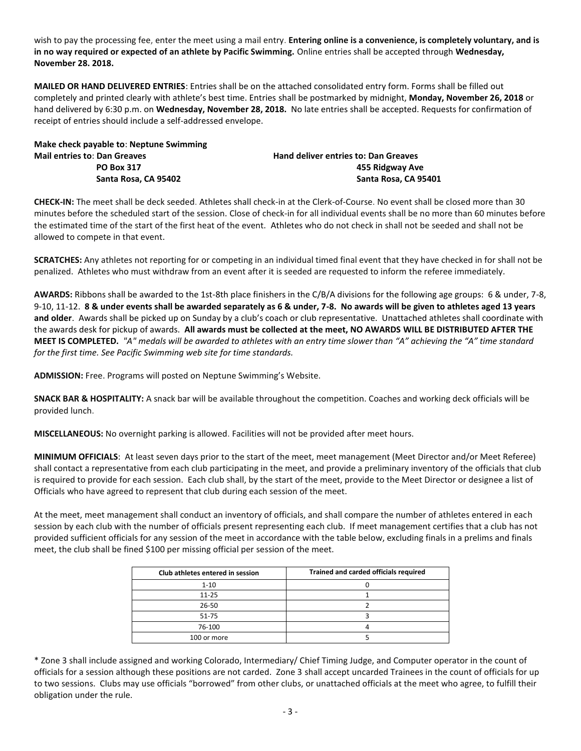wish to pay the processing fee, enter the meet using a mail entry. **Entering online is a convenience, is completely voluntary, and is in no way required or expected of an athlete by Pacific Swimming.** Online entries shall be accepted through **Wednesday, November 28. 2018.**

**MAILED OR HAND DELIVERED ENTRIES**: Entries shall be on the attached consolidated entry form. Forms shall be filled out completely and printed clearly with athlete's best time. Entries shall be postmarked by midnight, **Monday, November 26, 2018** or hand delivered by 6:30 p.m. on **Wednesday, November 28, 2018.** No late entries shall be accepted. Requests for confirmation of receipt of entries should include a self-addressed envelope.

**Make check payable to**: **Neptune Swimming Mail entries to**: **Dan Greaves Hand deliver entries to: Dan Greaves PO Box 317 455 Ridgway Ave Santa Rosa, CA 95402 Santa Rosa, CA 95401**

**CHECK-IN:** The meet shall be deck seeded. Athletes shall check-in at the Clerk-of-Course. No event shall be closed more than 30 minutes before the scheduled start of the session. Close of check-in for all individual events shall be no more than 60 minutes before the estimated time of the start of the first heat of the event. Athletes who do not check in shall not be seeded and shall not be allowed to compete in that event.

**SCRATCHES:** Any athletes not reporting for or competing in an individual timed final event that they have checked in for shall not be penalized. Athletes who must withdraw from an event after it is seeded are requested to inform the referee immediately.

**AWARDS:** Ribbons shall be awarded to the 1st-8th place finishers in the C/B/A divisions for the following age groups: 6 & under, 7-8, 9-10, 11-12. **8 & under events shall be awarded separately as 6 & under, 7-8. No awards will be given to athletes aged 13 years and older**. Awards shall be picked up on Sunday by a club's coach or club representative. Unattached athletes shall coordinate with the awards desk for pickup of awards. **All awards must be collected at the meet, NO AWARDS WILL BE DISTRIBUTED AFTER THE MEET IS COMPLETED.** *"A" medals will be awarded to athletes with an entry time slower than "A" achieving the "A" time standard for the first time. See Pacific Swimming web site for time standards.* 

**ADMISSION:** Free. Programs will posted on Neptune Swimming's Website.

**SNACK BAR & HOSPITALITY:** A snack bar will be available throughout the competition. Coaches and working deck officials will be provided lunch.

**MISCELLANEOUS:** No overnight parking is allowed. Facilities will not be provided after meet hours.

**MINIMUM OFFICIALS**: At least seven days prior to the start of the meet, meet management (Meet Director and/or Meet Referee) shall contact a representative from each club participating in the meet, and provide a preliminary inventory of the officials that club is required to provide for each session. Each club shall, by the start of the meet, provide to the Meet Director or designee a list of Officials who have agreed to represent that club during each session of the meet.

At the meet, meet management shall conduct an inventory of officials, and shall compare the number of athletes entered in each session by each club with the number of officials present representing each club. If meet management certifies that a club has not provided sufficient officials for any session of the meet in accordance with the table below, excluding finals in a prelims and finals meet, the club shall be fined \$100 per missing official per session of the meet.

| Club athletes entered in session | Trained and carded officials required |
|----------------------------------|---------------------------------------|
| $1 - 10$                         |                                       |
| $11 - 25$                        |                                       |
| $26 - 50$                        |                                       |
| 51-75                            |                                       |
| 76-100                           |                                       |
| 100 or more                      |                                       |

\* Zone 3 shall include assigned and working Colorado, Intermediary/ Chief Timing Judge, and Computer operator in the count of officials for a session although these positions are not carded. Zone 3 shall accept uncarded Trainees in the count of officials for up to two sessions. Clubs may use officials "borrowed" from other clubs, or unattached officials at the meet who agree, to fulfill their obligation under the rule.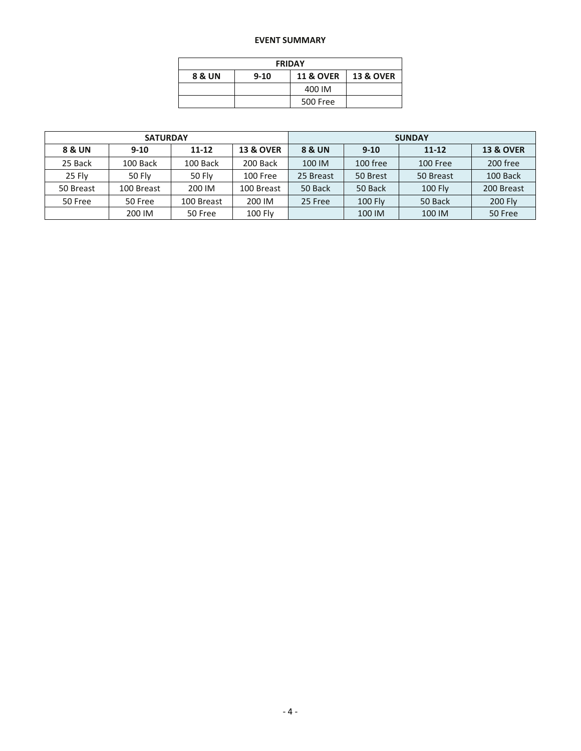## **EVENT SUMMARY**

| <b>FRIDAY</b> |          |                      |                      |  |  |  |  |  |  |
|---------------|----------|----------------------|----------------------|--|--|--|--|--|--|
| 8 & UN        | $9 - 10$ | <b>11 &amp; OVER</b> | <b>13 &amp; OVER</b> |  |  |  |  |  |  |
|               |          | 400 IM               |                      |  |  |  |  |  |  |
|               |          | 500 Free             |                      |  |  |  |  |  |  |

|           | <b>SATURDAY</b> |               |                      | <b>SUNDAY</b> |                |                |                      |  |  |
|-----------|-----------------|---------------|----------------------|---------------|----------------|----------------|----------------------|--|--|
| 8 & UN    | $9-10$          | 11-12         | <b>13 &amp; OVER</b> | 8 & UN        | $9-10$         | $11 - 12$      | <b>13 &amp; OVER</b> |  |  |
| 25 Back   | 100 Back        | 100 Back      | 200 Back             | 100 IM        | 100 free       | 100 Free       | 200 free             |  |  |
| 25 Fly    | <b>50 Flv</b>   | <b>50 Fly</b> | 100 Free             | 25 Breast     | 50 Brest       | 50 Breast      | 100 Back             |  |  |
| 50 Breast | 100 Breast      | 200 IM        | 100 Breast           | 50 Back       | 50 Back        | <b>100 Flv</b> | 200 Breast           |  |  |
| 50 Free   | 50 Free         | 100 Breast    | 200 IM               | 25 Free       | <b>100 Fly</b> | 50 Back        | 200 Fly              |  |  |
|           | 200 IM          | 50 Free       | <b>100 Fly</b>       |               | 100 IM         | 100 IM         | 50 Free              |  |  |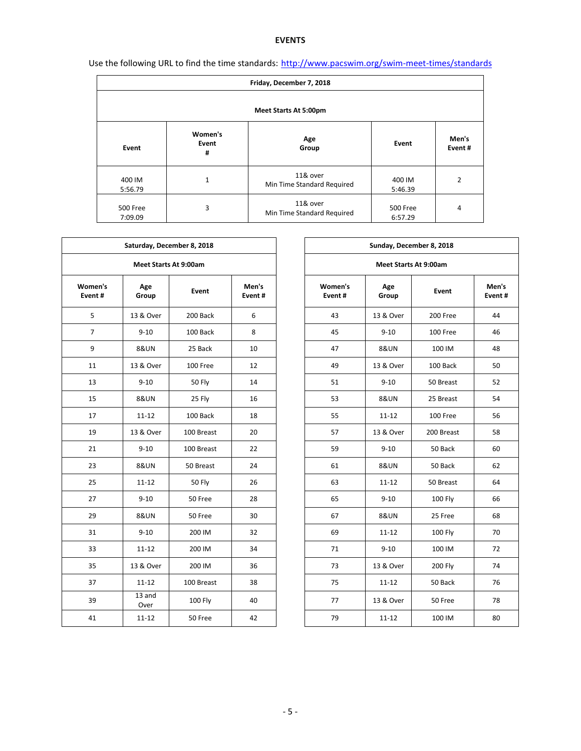## **EVENTS**

| Use the following URL to find the time standards: http://www.pacswim.org/swim-meet-times/standards |  |  |  |
|----------------------------------------------------------------------------------------------------|--|--|--|
|                                                                                                    |  |  |  |

| Friday, December 7, 2018 |                       |                                        |                     |                 |  |  |  |  |  |  |
|--------------------------|-----------------------|----------------------------------------|---------------------|-----------------|--|--|--|--|--|--|
| Meet Starts At 5:00pm    |                       |                                        |                     |                 |  |  |  |  |  |  |
| Event                    | Women's<br>Event<br># | Age<br>Group                           | Event               | Men's<br>Event# |  |  |  |  |  |  |
| 400 IM<br>5:56.79        | 1                     | 11& over<br>Min Time Standard Required | 400 IM<br>5:46.39   | 2               |  |  |  |  |  |  |
| 500 Free<br>7:09.09      | 3                     | 11& over<br>Min Time Standard Required | 500 Free<br>6:57.29 | 4               |  |  |  |  |  |  |

٦

Г

| Saturday, December 8, 2018 |                              |               |                 |  | Sunday, December 8, 2018     |                 |            |                 |  |  |  |
|----------------------------|------------------------------|---------------|-----------------|--|------------------------------|-----------------|------------|-----------------|--|--|--|
|                            | <b>Meet Starts At 9:00am</b> |               |                 |  | <b>Meet Starts At 9:00am</b> |                 |            |                 |  |  |  |
| Women's<br>Event#          | Age<br>Group                 | Event         | Men's<br>Event# |  | Women's<br>Event#            | Age<br>Group    | Event      | Men's<br>Event# |  |  |  |
| 5                          | 13 & Over                    | 200 Back      | 6               |  | 43                           | 13 & Over       | 200 Free   | 44              |  |  |  |
| $\overline{7}$             | $9 - 10$                     | 100 Back      | 8               |  | 45                           | $9 - 10$        | 100 Free   | 46              |  |  |  |
| 9                          | <b>8&amp;UN</b>              | 25 Back       | 10              |  | 47                           | <b>8&amp;UN</b> | 100 IM     | 48              |  |  |  |
| 11                         | 13 & Over                    | 100 Free      | 12              |  | 49                           | 13 & Over       | 100 Back   | 50              |  |  |  |
| 13                         | $9 - 10$                     | 50 Fly        | 14              |  | 51                           | $9 - 10$        | 50 Breast  | 52              |  |  |  |
| 15                         | <b>8&amp;UN</b>              | 25 Fly        | 16              |  | 53                           | <b>8&amp;UN</b> | 25 Breast  | 54              |  |  |  |
| 17                         | $11 - 12$                    | 100 Back      | 18              |  | 55                           | $11 - 12$       | 100 Free   | 56              |  |  |  |
| 19                         | 13 & Over                    | 100 Breast    | 20              |  | 57                           | 13 & Over       | 200 Breast | 58              |  |  |  |
| 21                         | $9 - 10$                     | 100 Breast    | 22              |  | 59                           | $9 - 10$        | 50 Back    | 60              |  |  |  |
| 23                         | <b>8&amp;UN</b>              | 50 Breast     | 24              |  | 61                           | <b>8&amp;UN</b> | 50 Back    | 62              |  |  |  |
| 25                         | $11 - 12$                    | <b>50 Fly</b> | 26              |  | 63                           | $11 - 12$       | 50 Breast  | 64              |  |  |  |
| 27                         | $9 - 10$                     | 50 Free       | 28              |  | 65                           | $9 - 10$        | 100 Fly    | 66              |  |  |  |
| 29                         | <b>8&amp;UN</b>              | 50 Free       | 30              |  | 67                           | <b>8&amp;UN</b> | 25 Free    | 68              |  |  |  |
| 31                         | $9 - 10$                     | 200 IM        | 32              |  | 69                           | $11 - 12$       | 100 Fly    | 70              |  |  |  |
| 33                         | $11 - 12$                    | 200 IM        | 34              |  | 71                           | $9 - 10$        | 100 IM     | 72              |  |  |  |
| 35                         | 13 & Over                    | 200 IM        | 36              |  | 73                           | 13 & Over       | 200 Fly    | 74              |  |  |  |
| 37                         | $11 - 12$                    | 100 Breast    | 38              |  | 75                           | $11 - 12$       | 50 Back    | 76              |  |  |  |
| 39                         | 13 and<br>Over               | 100 Fly       | 40              |  | 77                           | 13 & Over       | 50 Free    | 78              |  |  |  |
| 41                         | $11 - 12$                    | 50 Free       | 42              |  | 79                           | $11 - 12$       | 100 IM     | 80              |  |  |  |